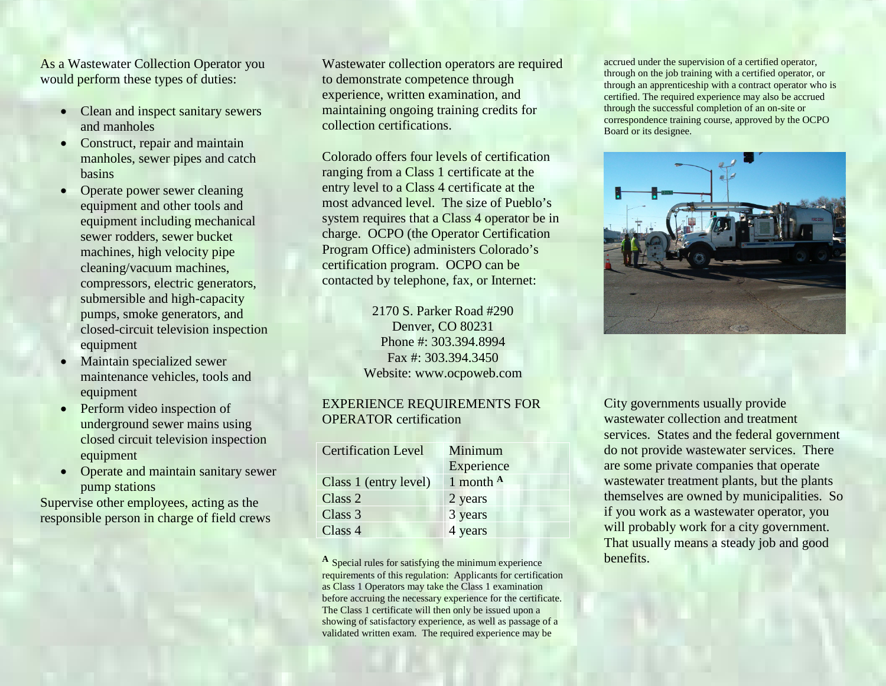As a Wastewater Collection Operator you would perform these types of duties:

- Clean and inspect sanitary sewers and manholes
- Construct, repair and maintain manholes, sewer pipes and catch basins
- Operate power sewer cleaning equipment and other tools and equipment including mechanical sewer rodders, sewer bucket machines, high velocity pipe cleaning/vacuum machines, compressors, electric generators, submersible and high-capacity pumps, smoke generators, and closed-circuit television inspection equipment
- Maintain specialized sewer maintenance vehicles, tools and equipment
- Perform video inspection of underground sewer mains using closed circuit television inspection equipment
- Operate and maintain sanitary sewer pump stations

Supervise other employees, acting as the responsible person in charge of field crews Wastewater collection operators are required to demonstrate competence through experience, written examination, and maintaining ongoing training credits for collection certifications.

Colorado offers four levels of certification ranging from a Class 1 certificate at the entry level to a Class 4 certificate at the most advanced level. The size of Pueblo's system requires that a Class 4 operator be in charge. OCPO (the Operator Certification Program Office) administers Colorado's certification program. OCPO can be contacted by telephone, fax, or Internet:

> 2170 S. Parker Road #290 Denver, CO 80231 Phone #: 303.394.8994 Fax #: 303.394.3450 Website: www.ocpoweb.com

#### EXPERIENCE REQUIREMENTS FOR OPERATOR certification

| <b>Certification Level</b> | Minimum              |
|----------------------------|----------------------|
|                            | Experience           |
| Class 1 (entry level)      | 1 month $\mathbf{A}$ |
| Class 2                    | 2 years              |
| Class 3                    | 3 years              |
| Class 4                    | 4 years              |

**<sup>A</sup>** Special rules for satisfying the minimum experience requirements of this regulation: Applicants for certification as Class 1 Operators may take the Class 1 examination before accruing the necessary experience for the certificate. The Class 1 certificate will then only be issued upon a showing of satisfactory experience, as well as passage of a validated written exam. The required experience may be

accrued under the supervision of a certified operator, through on the job training with a certified operator, or through an apprenticeship with a contract operator who is certified. The required experience may also be accrued through the successful completion of an on-site or correspondence training course, approved by the OCPO Board or its designee.



City governments usually provide wastewater collection and treatment services. States and the federal government do not provide wastewater services. There are some private companies that operate wastewater treatment plants, but the plants themselves are owned by municipalities. So if you work as a wastewater operator, you will probably work for a city government. That usually means a steady job and good benefits.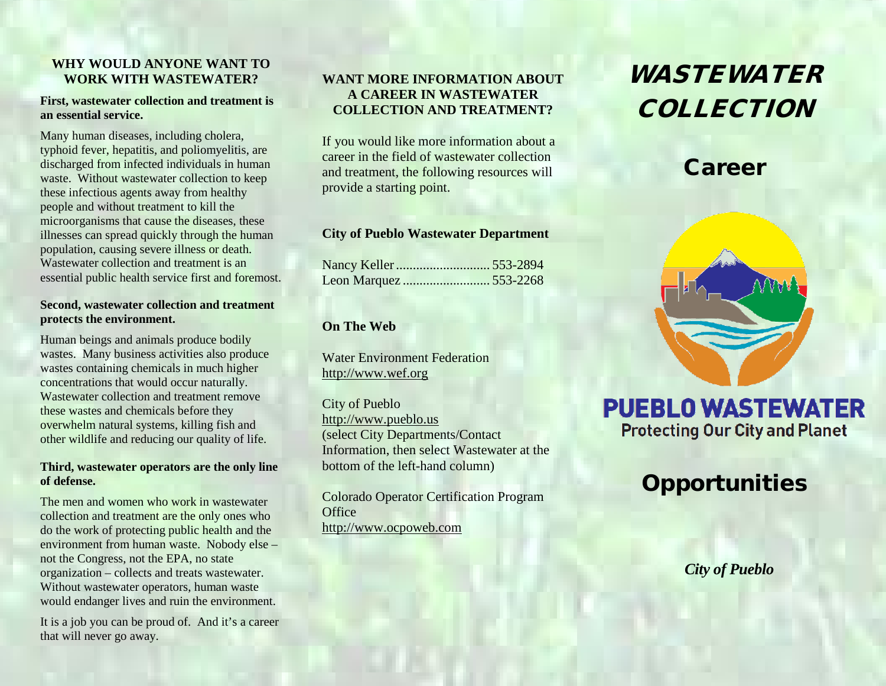### **WHY WOULD ANYONE WANT TO WORK WITH WASTEWATER?**

#### **First, wastewater collection and treatment is an essential service.**

Many human diseases, including cholera, typhoid fever, hepatitis, and poliomyelitis, are discharged from infected individuals in human waste. Without wastewater collection to keep these infectious agents away from healthy people and without treatment to kill the microorganisms that cause the diseases, these illnesses can spread quickly through the human population, causing severe illness or death. Wastewater collection and treatment is an essential public health service first and foremost.

#### **Second, wastewater collection and treatment protects the environment.**

Human beings and animals produce bodily wastes. Many business activities also produce wastes containing chemicals in much higher concentrations that would occur naturally. Wastewater collection and treatment remove these wastes and chemicals before they overwhelm natural systems, killing fish and other wildlife and reducing our quality of life.

#### **Third, wastewater operators are the only line of defense.**

The men and women who work in wastewater collection and treatment are the only ones who do the work of protecting public health and the environment from human waste. Nobody else – not the Congress, not the EPA, no state organization – collects and treats wastewater. Without wastewater operators, human waste would endanger lives and ruin the environment.

It is a job you can be proud of. And it's a career that will never go away.

### **WANT MORE INFORMATION ABOUT A CAREER IN WASTEWATER COLLECTION AND TREATMENT?**

If you would like more information about a career in the field of wastewater collection and treatment, the following resources will provide a starting point.

### **City of Pueblo Wastewater Department**

### **On The Web**

Water Environment Federation [http://www.wef.org](http://www.wef.org/)

City of Pueblo [http://www.pueblo.us](http://www.pueblo.us/) (select City Departments/Contact Information, then select Wastewater at the bottom of the left-hand column)

Colorado Operator Certification Program **Office** [http://www.ocpoweb.com](http://www.ocpoweb.com/)

# WASTEWATER **COLLECTION**

## **Career**



# **PUEBLO WASTEWATER Protecting Our City and Planet**

# **Opportunities**

*City of Pueblo*